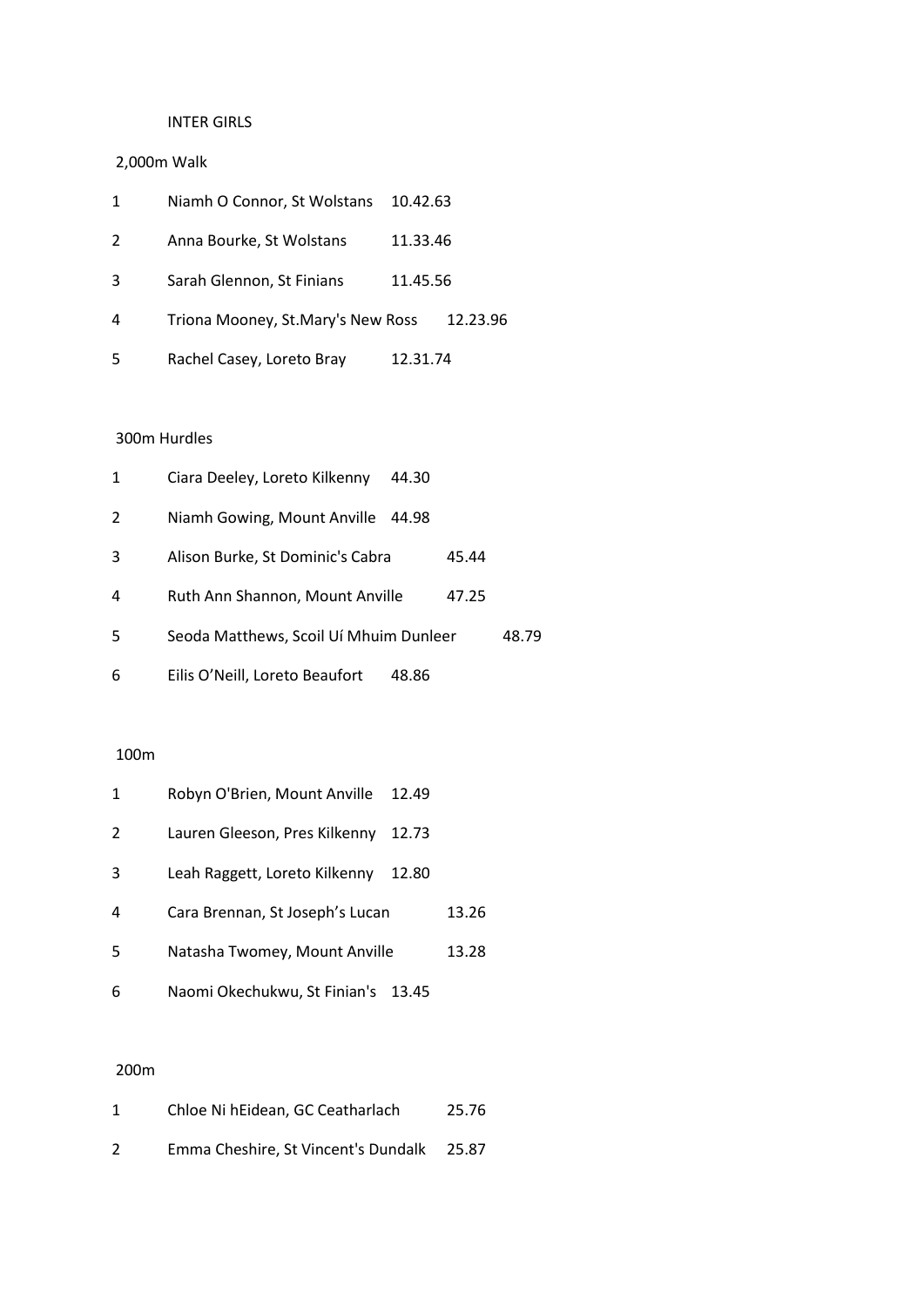## INTER GIRLS

# 2,000m Walk

| 1 | Niamh O Connor, St Wolstans       | 10.42.63 |          |
|---|-----------------------------------|----------|----------|
| 2 | Anna Bourke, St Wolstans          | 11.33.46 |          |
| 3 | Sarah Glennon, St Finians         | 11.45.56 |          |
| 4 | Triona Mooney, St.Mary's New Ross |          | 12.23.96 |
| 5 | Rachel Casey, Loreto Bray         | 12.31.74 |          |

## 300m Hurdles

| 1 | Ciara Deeley, Loreto Kilkenny          | 44.30 |       |       |
|---|----------------------------------------|-------|-------|-------|
| 2 | Niamh Gowing, Mount Anville            | 44.98 |       |       |
| 3 | Alison Burke, St Dominic's Cabra       |       | 45.44 |       |
| 4 | Ruth Ann Shannon, Mount Anville        |       | 47.25 |       |
| 5 | Seoda Matthews, Scoil Uí Mhuim Dunleer |       |       | 48.79 |
| 6 | Eilis O'Neill, Loreto Beaufort         | 48.86 |       |       |

#### 100m

| 1 | Robyn O'Brien, Mount Anville    | 12.49 |       |
|---|---------------------------------|-------|-------|
| 2 | Lauren Gleeson, Pres Kilkenny   | 12.73 |       |
| 3 | Leah Raggett, Loreto Kilkenny   | 12.80 |       |
| 4 | Cara Brennan, St Joseph's Lucan |       | 13.26 |
| 5 | Natasha Twomey, Mount Anville   |       | 13.28 |
| 6 | Naomi Okechukwu, St Finian's    | 13.45 |       |

| 1 | Chloe Ni hEidean, GC Ceatharlach    | 25.76 |
|---|-------------------------------------|-------|
| 2 | Emma Cheshire, St Vincent's Dundalk | 25.87 |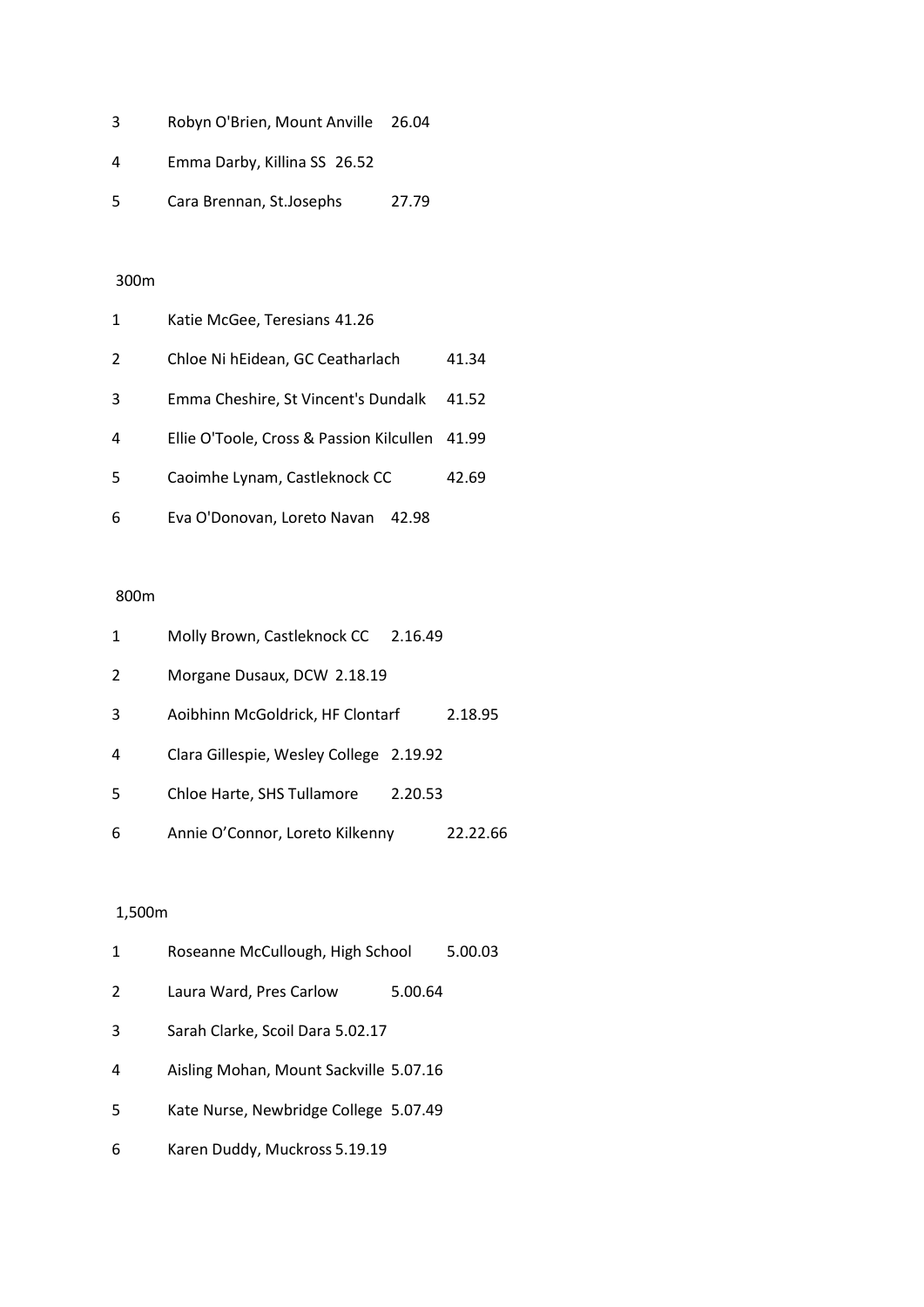| 3 | Robyn O'Brien, Mount Anville 26.04 |       |
|---|------------------------------------|-------|
| 4 | Emma Darby, Killina SS 26.52       |       |
| 5 | Cara Brennan, St.Josephs           | 27.79 |

| 1 | Katie McGee, Teresians 41.26                   |       |
|---|------------------------------------------------|-------|
| 2 | Chloe Ni hEidean, GC Ceatharlach               | 41.34 |
| 3 | Emma Cheshire, St Vincent's Dundalk            | 41.52 |
| 4 | Ellie O'Toole, Cross & Passion Kilcullen 41.99 |       |
| 5 | Caoimhe Lynam, Castleknock CC                  | 42.69 |
| 6 | Eva O'Donovan, Loreto Navan<br>42.98           |       |

## 800m

| 1 | Molly Brown, Castleknock CC             | 2.16.49 |          |
|---|-----------------------------------------|---------|----------|
| 2 | Morgane Dusaux, DCW 2.18.19             |         |          |
| 3 | Aoibhinn McGoldrick, HF Clontarf        |         | 2.18.95  |
| 4 | Clara Gillespie, Wesley College 2.19.92 |         |          |
| 5 | Chloe Harte, SHS Tullamore              | 2.20.53 |          |
| 6 | Annie O'Connor, Loreto Kilkenny         |         | 22.22.66 |

# 1,500m

| 1 | Roseanne McCullough, High School       |         | 5.00.03 |
|---|----------------------------------------|---------|---------|
| 2 | Laura Ward, Pres Carlow                | 5.00.64 |         |
| 3 | Sarah Clarke, Scoil Dara 5.02.17       |         |         |
| 4 | Aisling Mohan, Mount Sackville 5.07.16 |         |         |
| 5 | Kate Nurse, Newbridge College 5.07.49  |         |         |
| 6 | Karen Duddy, Muckross 5.19.19          |         |         |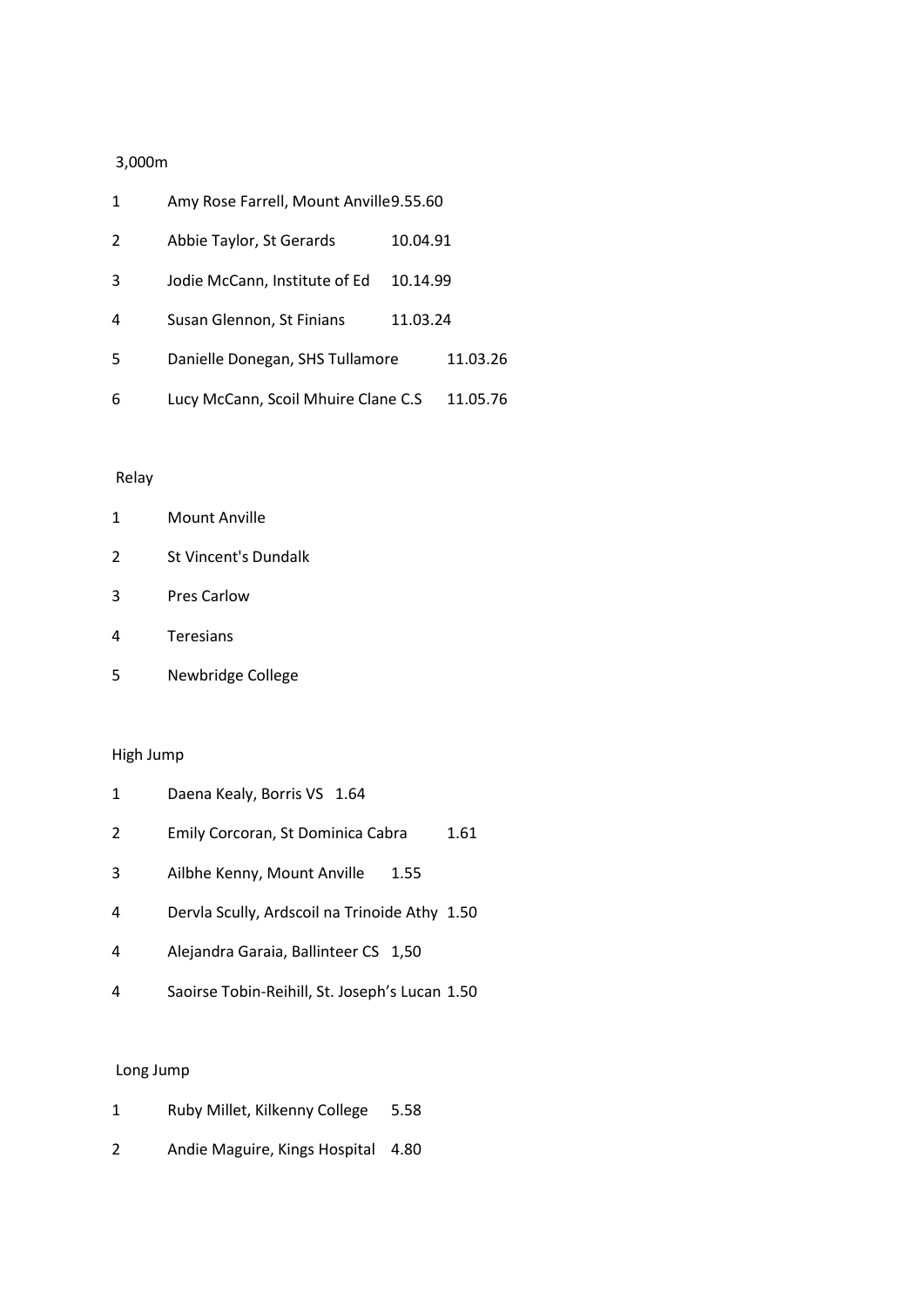# 3,000m

| 1 | Amy Rose Farrell, Mount Anville 9.55.60 |          |          |
|---|-----------------------------------------|----------|----------|
| 2 | Abbie Taylor, St Gerards                | 10.04.91 |          |
| 3 | Jodie McCann, Institute of Ed           | 10.14.99 |          |
| 4 | Susan Glennon, St Finians               | 11.03.24 |          |
| 5 | Danielle Donegan, SHS Tullamore         |          | 11.03.26 |
| 6 | Lucy McCann, Scoil Mhuire Clane C.S     |          | 11.05.76 |

#### Relay

- St Vincent's Dundalk
- Pres Carlow
- Teresians
- Newbridge College

#### High Jump

|   | Daena Kealy, Borris VS 1.64       |      |
|---|-----------------------------------|------|
| 2 | Emily Corcoran, St Dominica Cabra | 1.61 |

- Ailbhe Kenny, Mount Anville 1.55
- Dervla Scully, Ardscoil na Trinoide Athy 1.50
- Alejandra Garaia, Ballinteer CS 1,50
- Saoirse Tobin-Reihill, St. Joseph's Lucan 1.50

- Ruby Millet, Kilkenny College 5.58
- Andie Maguire, Kings Hospital 4.80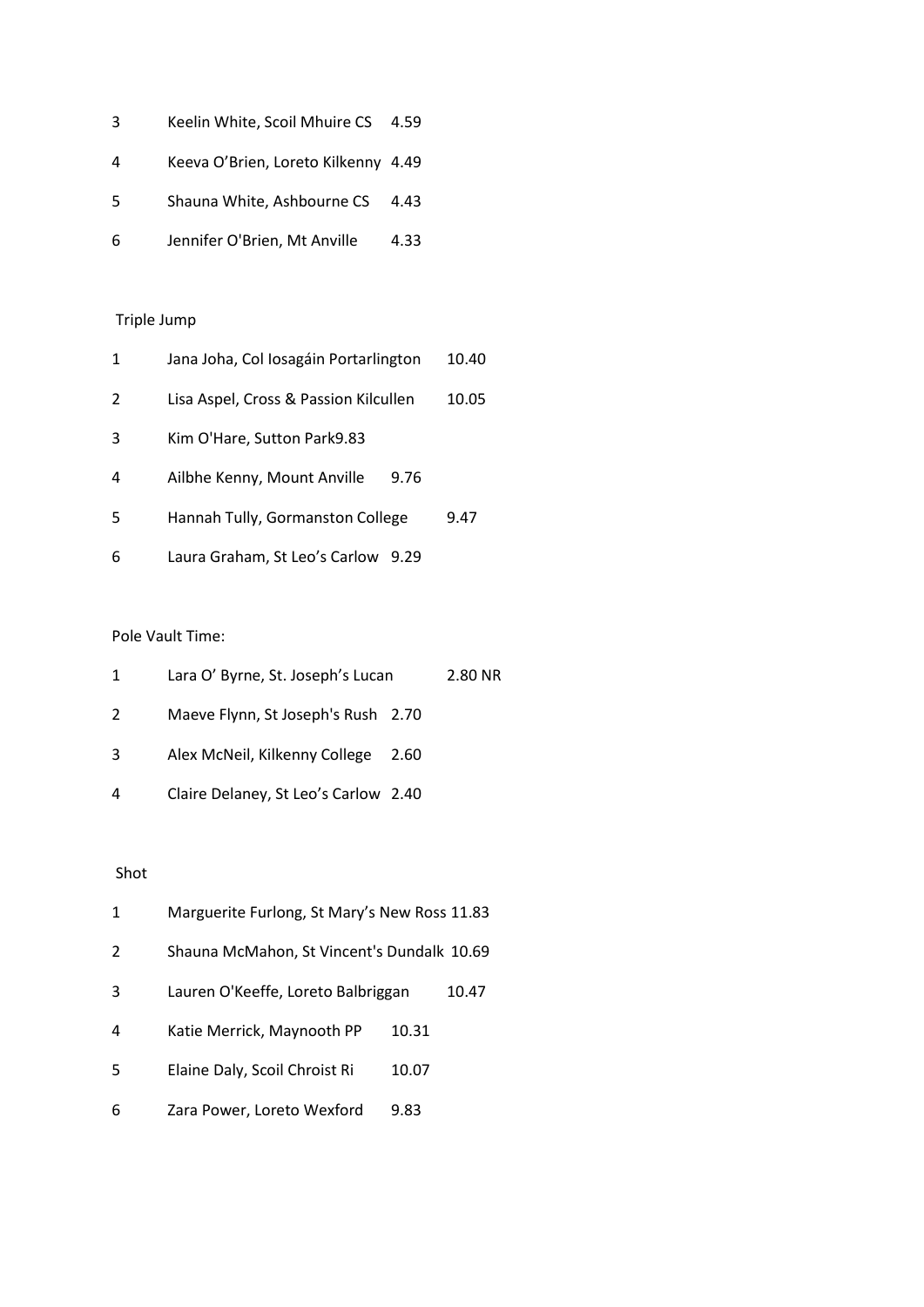| 3 | Keelin White, Scoil Mhuire CS 4.59 |  |  |  |
|---|------------------------------------|--|--|--|
|   |                                    |  |  |  |

- Keeva O'Brien, Loreto Kilkenny 4.49
- Shauna White, Ashbourne CS 4.43
- Jennifer O'Brien, Mt Anville 4.33

| 1 | Jana Joha, Col Iosagáin Portarlington | 10.40 |
|---|---------------------------------------|-------|
| 2 | Lisa Aspel, Cross & Passion Kilcullen | 10.05 |
| 3 | Kim O'Hare, Sutton Park9.83           |       |
| 4 | Ailbhe Kenny, Mount Anville<br>9.76   |       |
| 5 | Hannah Tully, Gormanston College      | 9.47  |
| 6 | Laura Graham, St Leo's Carlow<br>9.29 |       |

# Pole Vault Time:

| $\mathbf{1}$ | Lara O' Byrne, St. Joseph's Lucan    |      | 2.80 NR |
|--------------|--------------------------------------|------|---------|
| 2            | Maeve Flynn, St Joseph's Rush 2.70   |      |         |
| 3            | Alex McNeil, Kilkenny College        | 2.60 |         |
| 4            | Claire Delaney, St Leo's Carlow 2.40 |      |         |

# Shot

| 1 | Marguerite Furlong, St Mary's New Ross 11.83 |       |       |
|---|----------------------------------------------|-------|-------|
| 2 | Shauna McMahon, St Vincent's Dundalk 10.69   |       |       |
| 3 | Lauren O'Keeffe, Loreto Balbriggan           |       | 10.47 |
| 4 | Katie Merrick, Maynooth PP                   | 10.31 |       |
| 5 | Elaine Daly, Scoil Chroist Ri                | 10.07 |       |
| 6 | Zara Power, Loreto Wexford                   | 9.83  |       |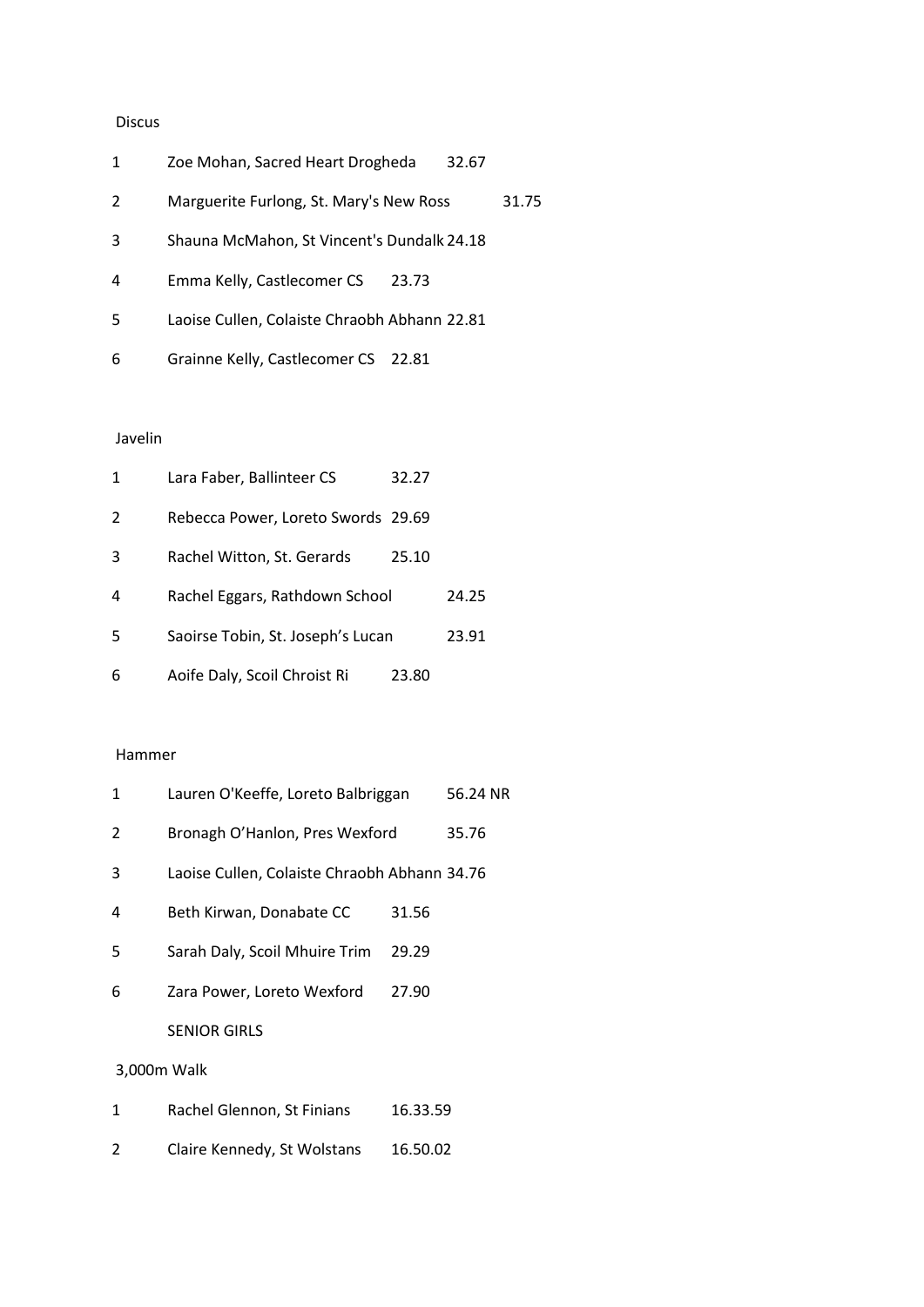#### Discus

| 1 | Zoe Mohan, Sacred Heart Drogheda             | 32.67 |       |
|---|----------------------------------------------|-------|-------|
| 2 | Marguerite Furlong, St. Mary's New Ross      |       | 31.75 |
| 3 | Shauna McMahon, St Vincent's Dundalk 24.18   |       |       |
| 4 | Emma Kelly, Castlecomer CS<br>23.73          |       |       |
| 5 | Laoise Cullen, Colaiste Chraobh Abhann 22.81 |       |       |
| 6 | Grainne Kelly, Castlecomer CS<br>22.81       |       |       |

# Javelin

| 1 | Lara Faber, Ballinteer CS          | 32.27 |       |
|---|------------------------------------|-------|-------|
| 2 | Rebecca Power, Loreto Swords 29.69 |       |       |
| 3 | Rachel Witton, St. Gerards         | 25.10 |       |
| 4 | Rachel Eggars, Rathdown School     |       | 24.25 |
| 5 | Saoirse Tobin, St. Joseph's Lucan  |       | 23.91 |
| 6 | Aoife Daly, Scoil Chroist Ri       | 23.80 |       |

#### Hammer

| 1 | Lauren O'Keeffe, Loreto Balbriggan           |          | 56.24 NR |
|---|----------------------------------------------|----------|----------|
| 2 | Bronagh O'Hanlon, Pres Wexford               |          | 35.76    |
| 3 | Laoise Cullen, Colaiste Chraobh Abhann 34.76 |          |          |
| 4 | Beth Kirwan, Donabate CC                     | 31.56    |          |
| 5 | Sarah Daly, Scoil Mhuire Trim                | 29.29    |          |
| 6 | Zara Power, Loreto Wexford                   | 27.90    |          |
|   | <b>SENIOR GIRLS</b>                          |          |          |
|   | 3,000m Walk                                  |          |          |
| 1 | Rachel Glennon, St Finians                   | 16.33.59 |          |

Claire Kennedy, St Wolstans 16.50.02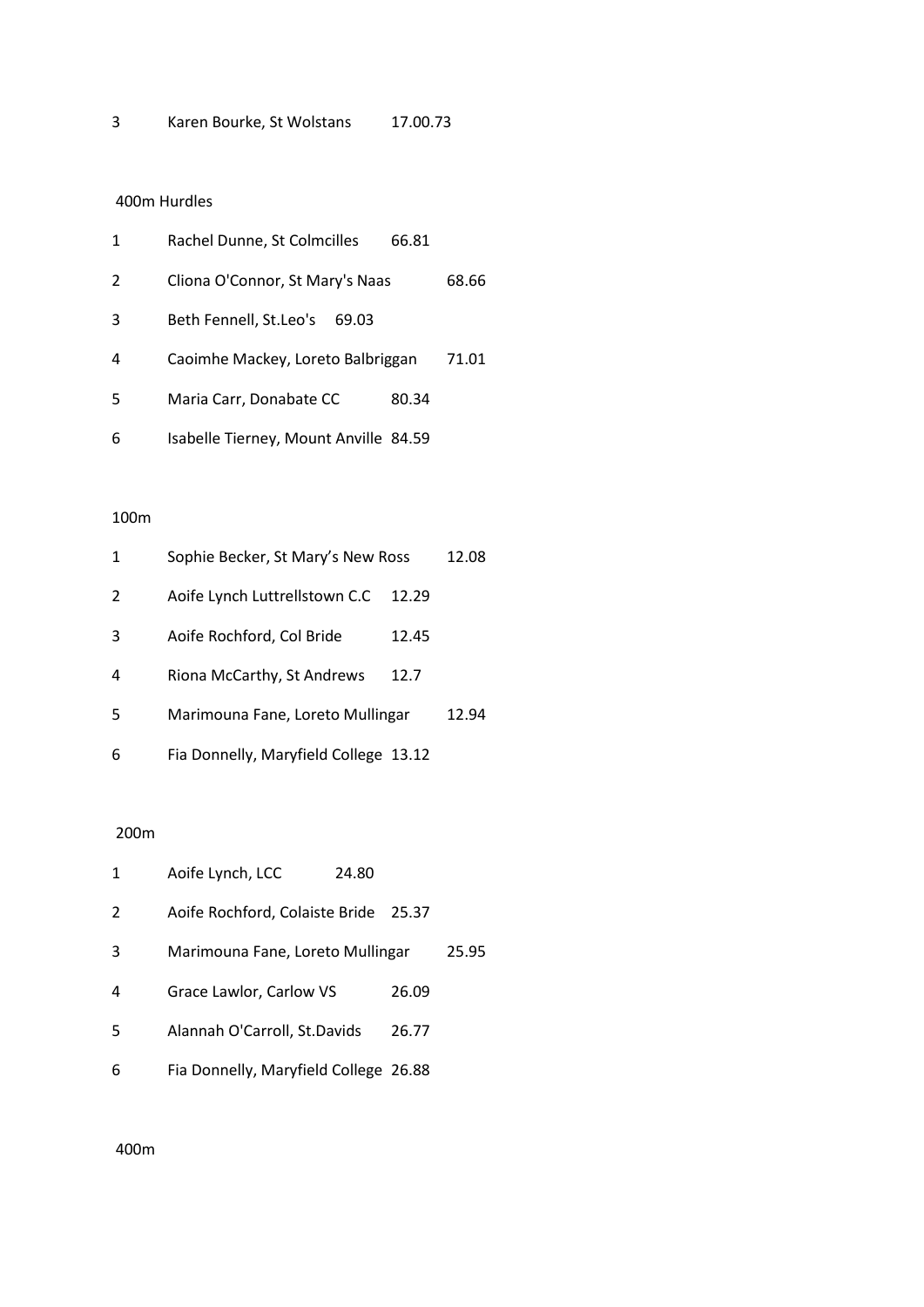# 400m Hurdles

| 1 | Rachel Dunne, St Colmcilles<br>66.81  |       |
|---|---------------------------------------|-------|
| 2 | Cliona O'Connor, St Mary's Naas       | 68.66 |
| 3 | Beth Fennell, St.Leo's<br>69.03       |       |
| 4 | Caoimhe Mackey, Loreto Balbriggan     | 71.01 |
| 5 | Maria Carr, Donabate CC<br>80.34      |       |
| 6 | Isabelle Tierney, Mount Anville 84.59 |       |

## 100m

| 1 | Sophie Becker, St Mary's New Ross     |       | 12.08 |
|---|---------------------------------------|-------|-------|
| 2 | Aoife Lynch Luttrellstown C.C         | 12.29 |       |
| 3 | Aoife Rochford, Col Bride             | 12.45 |       |
| 4 | Riona McCarthy, St Andrews            | 12.7  |       |
| 5 | Marimouna Fane, Loreto Mullingar      |       | 12.94 |
| 6 | Fia Donnelly, Maryfield College 13.12 |       |       |

## 200m

| 1 | Aoife Lynch, LCC                      | 24.80 |       |       |
|---|---------------------------------------|-------|-------|-------|
| 2 | Aoife Rochford, Colaiste Bride        |       | 25.37 |       |
| 3 | Marimouna Fane, Loreto Mullingar      |       |       | 25.95 |
| 4 | Grace Lawlor, Carlow VS               |       | 26.09 |       |
| 5 | Alannah O'Carroll, St.Davids          |       | 26.77 |       |
| 6 | Fia Donnelly, Maryfield College 26.88 |       |       |       |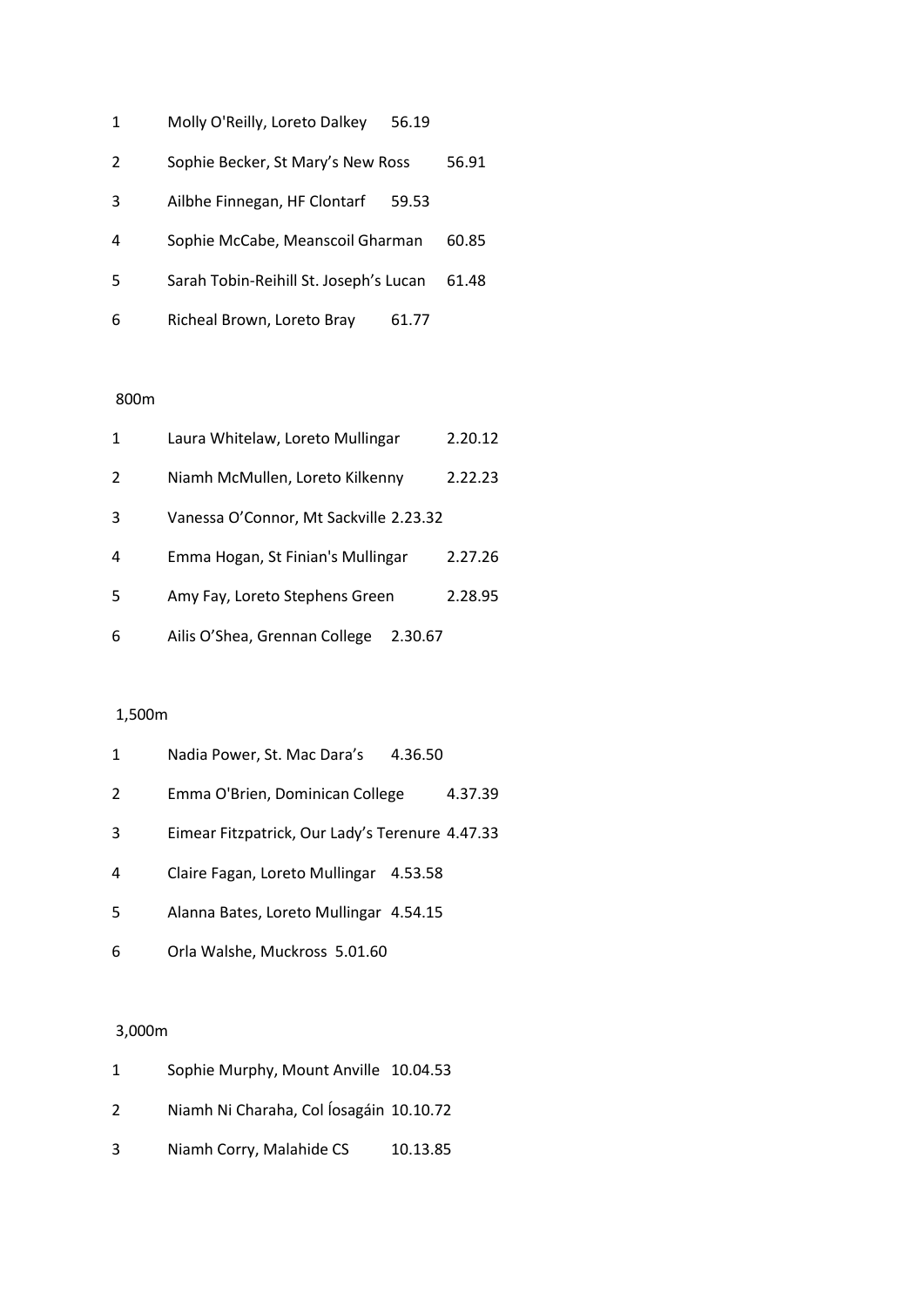| 1 | Molly O'Reilly, Loreto Dalkey<br>56.19 |       |
|---|----------------------------------------|-------|
| 2 | Sophie Becker, St Mary's New Ross      | 56.91 |
| 3 | Ailbhe Finnegan, HF Clontarf<br>59.53  |       |
| 4 | Sophie McCabe, Meanscoil Gharman       | 60.85 |
| 5 | Sarah Tobin-Reihill St. Joseph's Lucan | 61.48 |
| 6 | Richeal Brown, Loreto Bray<br>61.77    |       |

| 1  | Laura Whitelaw, Loreto Mullingar         | 2.20.12 |
|----|------------------------------------------|---------|
| 2  | Niamh McMullen, Loreto Kilkenny          | 2.22.23 |
| 3  | Vanessa O'Connor, Mt Sackville 2.23.32   |         |
| 4  | Emma Hogan, St Finian's Mullingar        | 2.27.26 |
| .5 | Amy Fay, Loreto Stephens Green           | 2.28.95 |
| 6  | Ailis O'Shea, Grennan College<br>2.30.67 |         |

# 1,500m

| 1 | Nadia Power, St. Mac Dara's<br>4.36.50          |
|---|-------------------------------------------------|
| 2 | Emma O'Brien, Dominican College<br>4.37.39      |
| 3 | Eimear Fitzpatrick, Our Lady's Terenure 4.47.33 |
| 4 | Claire Fagan, Loreto Mullingar 4.53.58          |
| 5 | Alanna Bates, Loreto Mullingar 4.54.15          |
| 6 | Orla Walshe, Muckross 5.01.60                   |

# 3,000m

| 1 | Sophie Murphy, Mount Anville 10.04.53   |          |
|---|-----------------------------------------|----------|
| 2 | Niamh Ni Charaha, Col Íosagáin 10.10.72 |          |
| 3 | Niamh Corry, Malahide CS                | 10.13.85 |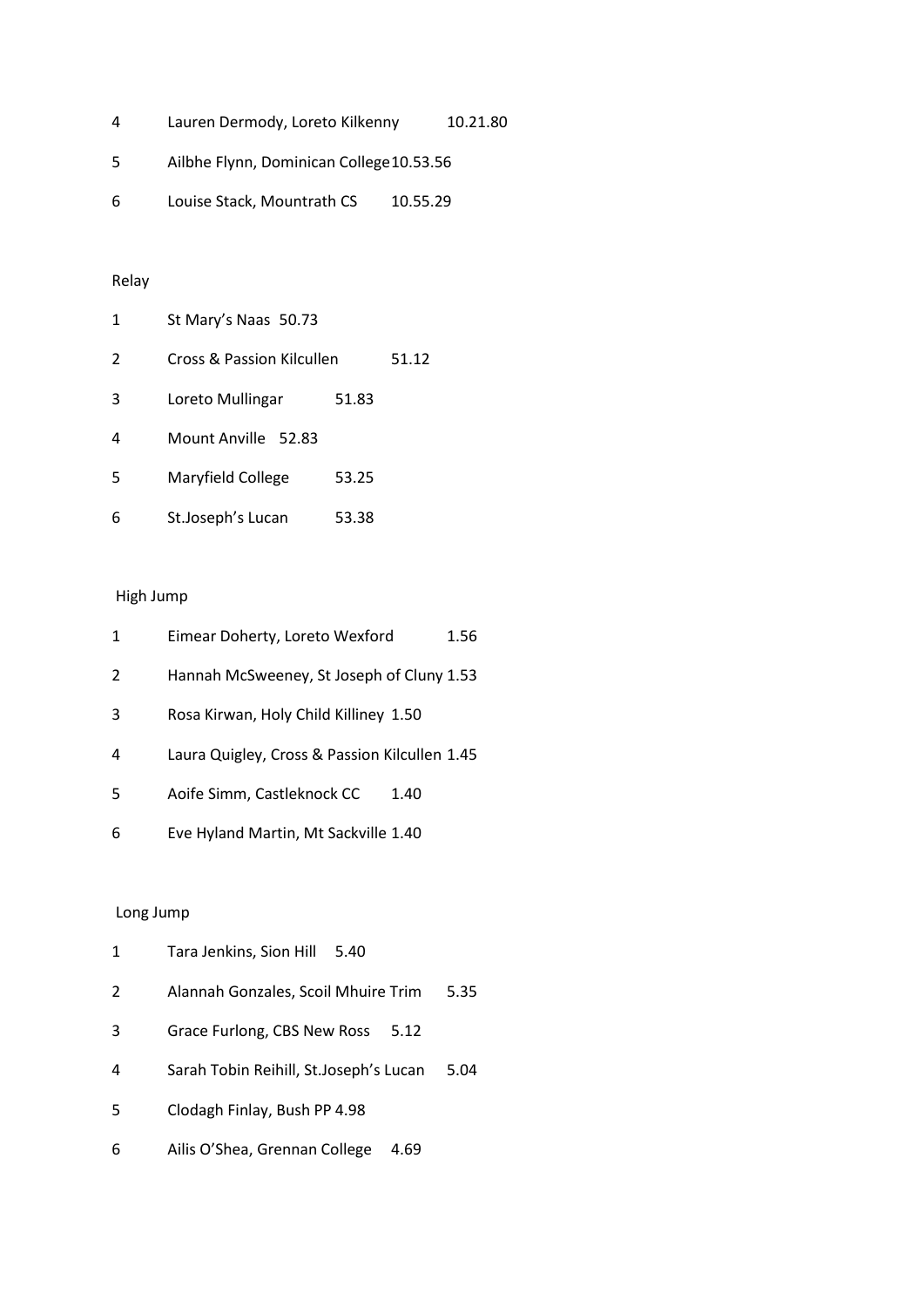| 4 | Lauren Dermody, Loreto Kilkenny          | 10.21.80 |
|---|------------------------------------------|----------|
| 5 | Ailbhe Flynn, Dominican College 10.53.56 |          |

Louise Stack, Mountrath CS 10.55.29

# Relay

| 1  | St Mary's Naas 50.73      |       |       |
|----|---------------------------|-------|-------|
| 2  | Cross & Passion Kilcullen |       | 51.12 |
| 3  | Loreto Mullingar          | 51.83 |       |
| 4  | Mount Anville 52.83       |       |       |
| .5 | Maryfield College         | 53.25 |       |
| 6  | St.Joseph's Lucan         | 53.38 |       |

# High Jump

| 1 | Eimear Doherty, Loreto Wexford                | 1.56 |
|---|-----------------------------------------------|------|
| 2 | Hannah McSweeney, St Joseph of Cluny 1.53     |      |
| 3 | Rosa Kirwan, Holy Child Killiney 1.50         |      |
| 4 | Laura Quigley, Cross & Passion Kilcullen 1.45 |      |
| 5 | Aoife Simm, Castleknock CC<br>1.40            |      |
| 6 | Eve Hyland Martin, Mt Sackville 1.40          |      |

| 1  | Tara Jenkins, Sion Hill<br>5.40        |      |
|----|----------------------------------------|------|
| 2  | Alannah Gonzales, Scoil Mhuire Trim    | 5.35 |
| 3  | Grace Furlong, CBS New Ross<br>5.12    |      |
| 4  | Sarah Tobin Reihill, St.Joseph's Lucan | 5.04 |
| .5 | Clodagh Finlay, Bush PP 4.98           |      |
| 6  | Ailis O'Shea, Grennan College<br>4.69  |      |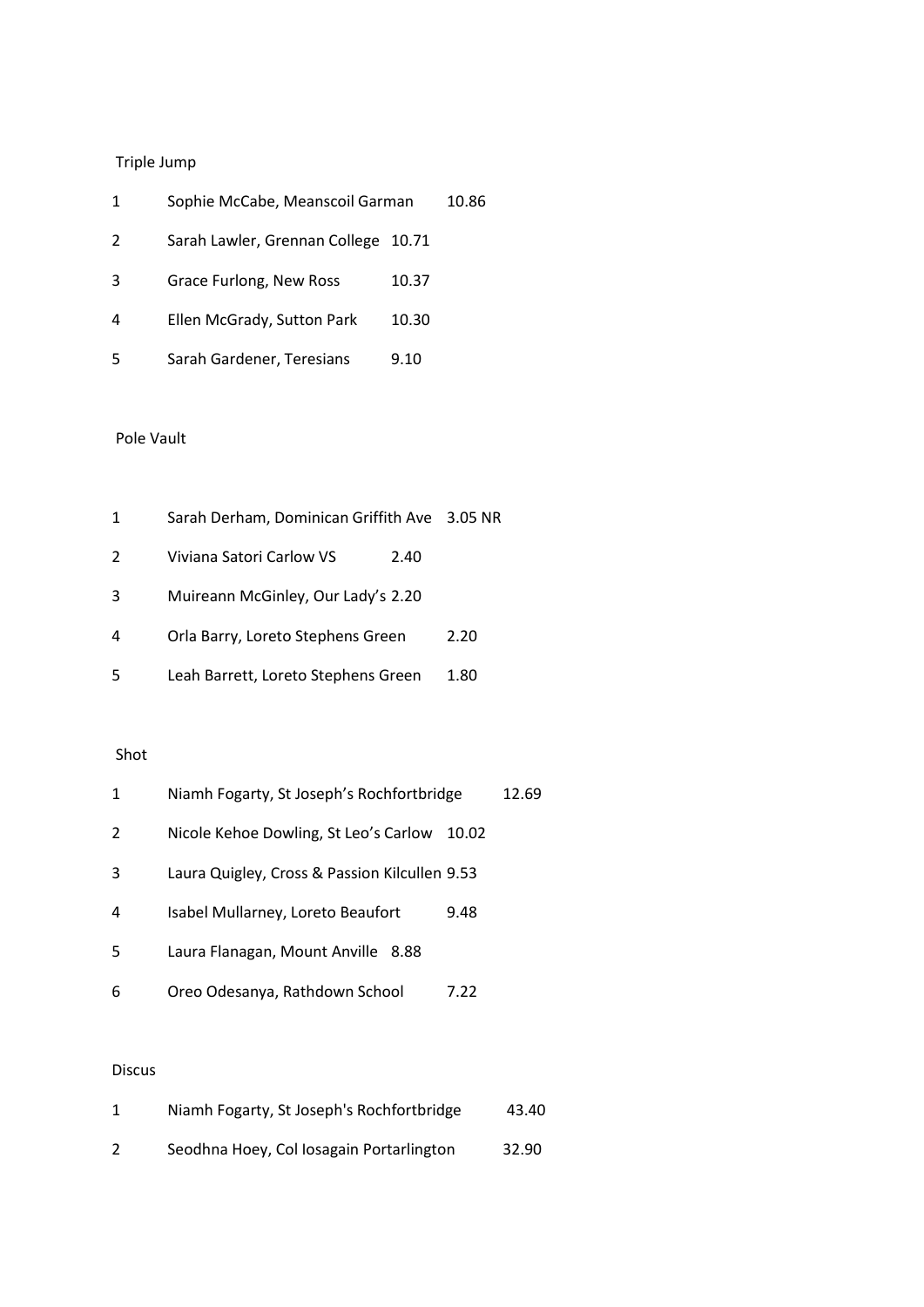| 1 | Sophie McCabe, Meanscoil Garman     |       | 10.86 |
|---|-------------------------------------|-------|-------|
| 2 | Sarah Lawler, Grennan College 10.71 |       |       |
| 3 | Grace Furlong, New Ross             | 10.37 |       |
| 4 | Ellen McGrady, Sutton Park          | 10.30 |       |
| 5 | Sarah Gardener, Teresians           | 9.10  |       |

# Pole Vault

| 1 | Sarah Derham, Dominican Griffith Ave 3.05 NR |      |
|---|----------------------------------------------|------|
| 2 | Viviana Satori Carlow VS<br>2.40             |      |
| 3 | Muireann McGinley, Our Lady's 2.20           |      |
| 4 | Orla Barry, Loreto Stephens Green            | 2.20 |
| 5 | Leah Barrett, Loreto Stephens Green          | 1.80 |

#### Shot

| $\mathbf{1}$ | Niamh Fogarty, St Joseph's Rochfortbridge     |       | 12.69 |
|--------------|-----------------------------------------------|-------|-------|
| 2            | Nicole Kehoe Dowling, St Leo's Carlow         | 10.02 |       |
| 3            | Laura Quigley, Cross & Passion Kilcullen 9.53 |       |       |
| 4            | Isabel Mullarney, Loreto Beaufort             | 9.48  |       |
| 5            | Laura Flanagan, Mount Anville 8.88            |       |       |
| 6            | Oreo Odesanya, Rathdown School                | 7.22  |       |

# Discus

| Niamh Fogarty, St Joseph's Rochfortbridge | 43.40 |
|-------------------------------------------|-------|
| Seodhna Hoey, Col Iosagain Portarlington  | 32.90 |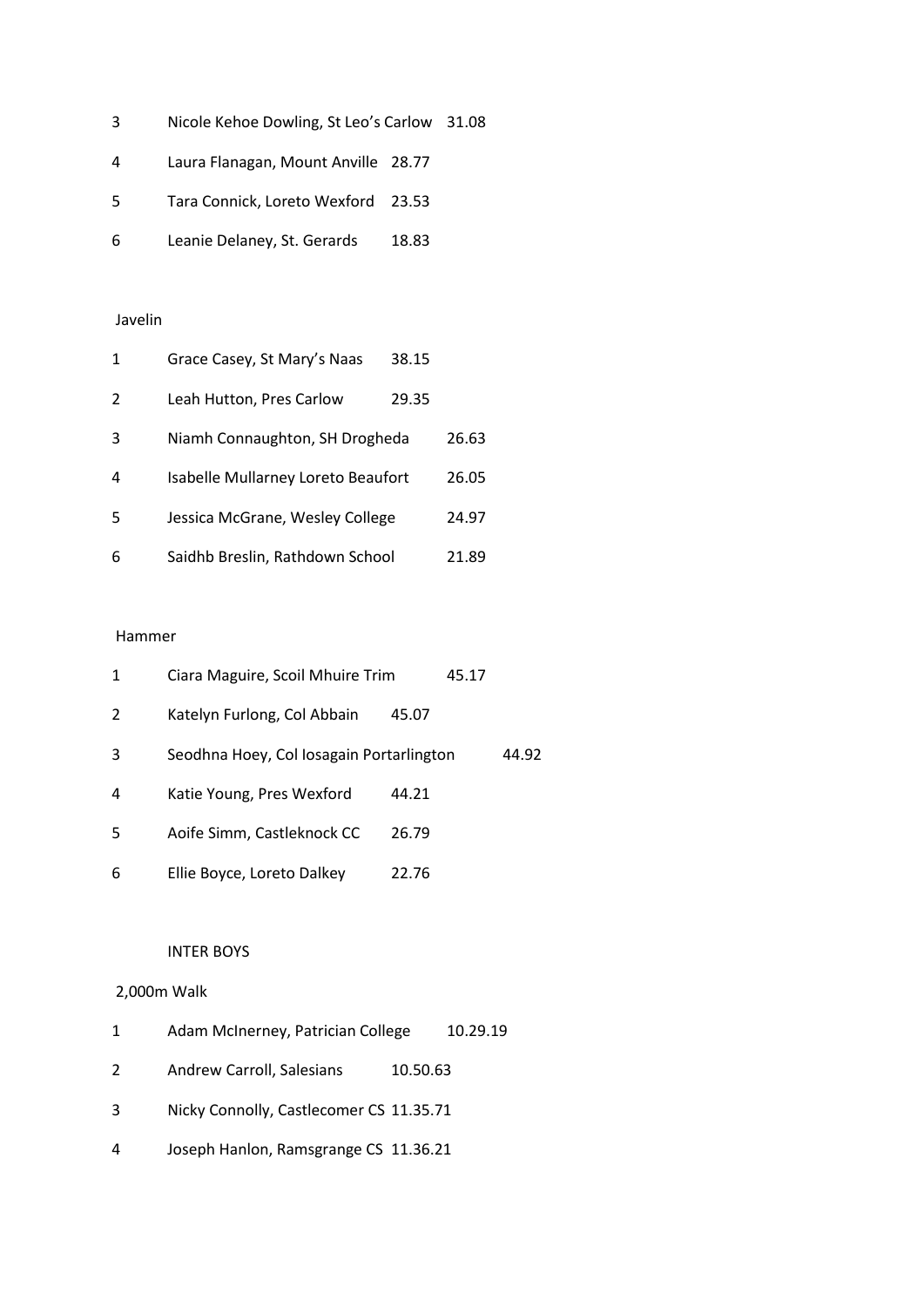- Nicole Kehoe Dowling, St Leo's Carlow 31.08
- Laura Flanagan, Mount Anville 28.77
- Tara Connick, Loreto Wexford 23.53
- Leanie Delaney, St. Gerards 18.83

# Javelin

| 1 | Grace Casey, St Mary's Naas        | 38.15 |       |
|---|------------------------------------|-------|-------|
| 2 | Leah Hutton, Pres Carlow           | 29.35 |       |
| 3 | Niamh Connaughton, SH Drogheda     |       | 26.63 |
| 4 | Isabelle Mullarney Loreto Beaufort |       | 26.05 |
| 5 | Jessica McGrane, Wesley College    |       | 24.97 |
| 6 | Saidhb Breslin, Rathdown School    |       | 21.89 |

#### Hammer

| 1 | Ciara Maguire, Scoil Mhuire Trim         |       | 45.17 |       |
|---|------------------------------------------|-------|-------|-------|
| 2 | Katelyn Furlong, Col Abbain              | 45.07 |       |       |
| 3 | Seodhna Hoey, Col Iosagain Portarlington |       |       | 44.92 |
| 4 | Katie Young, Pres Wexford                | 44.21 |       |       |
| 5 | Aoife Simm, Castleknock CC               | 26.79 |       |       |
| 6 | Ellie Boyce, Loreto Dalkey               | 22.76 |       |       |

# INTER BOYS

# 2,000m Walk

| 1 | Adam McInerney, Patrician College       |          | 10.29.19 |
|---|-----------------------------------------|----------|----------|
| 2 | Andrew Carroll, Salesians               | 10.50.63 |          |
| 3 | Nicky Connolly, Castlecomer CS 11.35.71 |          |          |
| 4 | Joseph Hanlon, Ramsgrange CS 11.36.21   |          |          |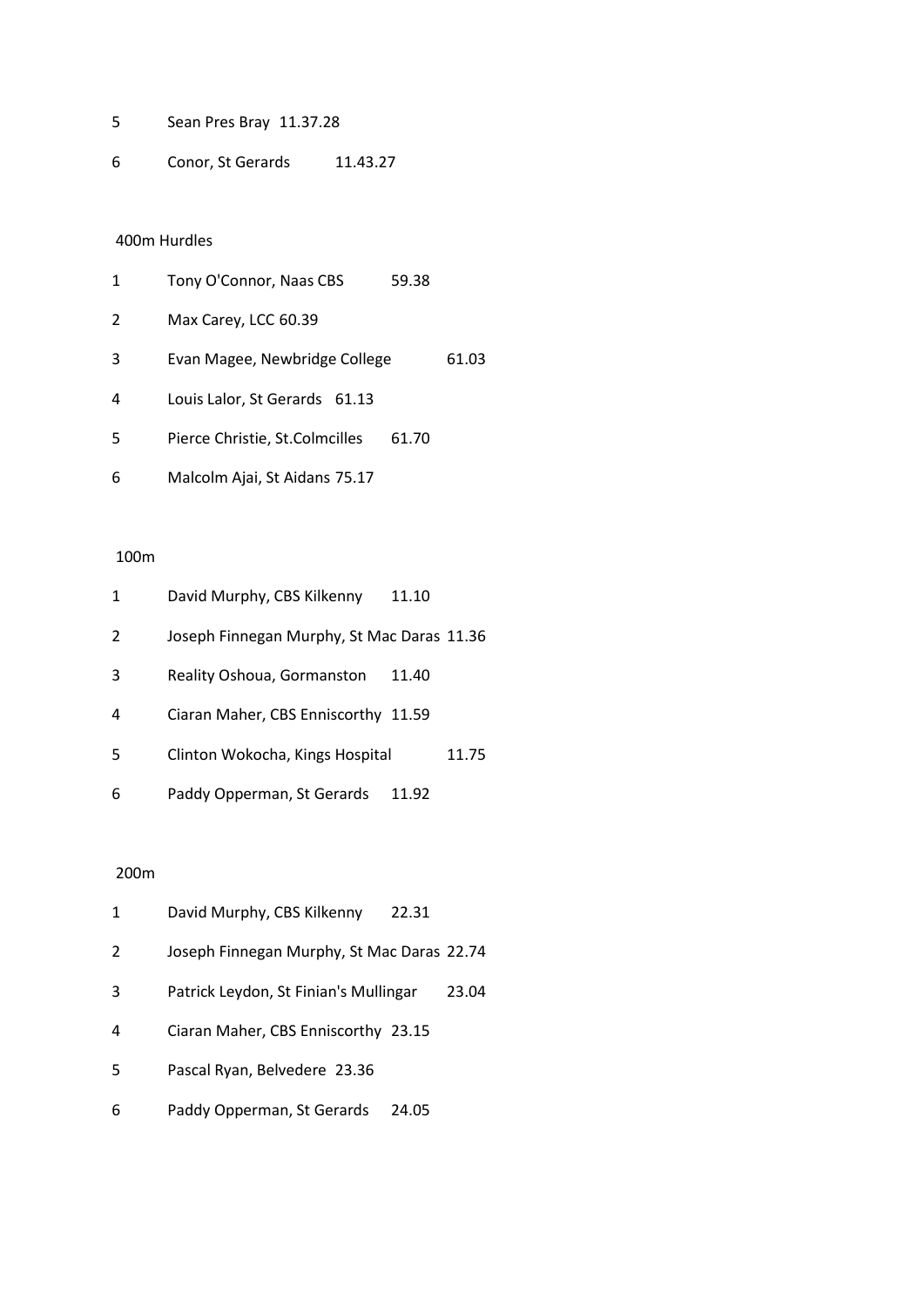Sean Pres Bray 11.37.28

Conor, St Gerards 11.43.27

## 400m Hurdles

| 1  | Tony O'Connor, Naas CBS        | 59.38 |       |
|----|--------------------------------|-------|-------|
| 2  | Max Carey, LCC 60.39           |       |       |
| 3  | Evan Magee, Newbridge College  |       | 61.03 |
| 4  | Louis Lalor, St Gerards 61.13  |       |       |
| .5 | Pierce Christie, St.Colmcilles | 61.70 |       |
| 6  | Malcolm Ajai, St Aidans 75.17  |       |       |

# 100m

| 1 | David Murphy, CBS Kilkenny                 | 11.10 |       |
|---|--------------------------------------------|-------|-------|
| 2 | Joseph Finnegan Murphy, St Mac Daras 11.36 |       |       |
| 3 | Reality Oshoua, Gormanston                 | 11.40 |       |
| 4 | Ciaran Maher, CBS Enniscorthy 11.59        |       |       |
| 5 | Clinton Wokocha, Kings Hospital            |       | 11.75 |
| 6 | Paddy Opperman, St Gerards                 | 11.92 |       |

| 1  | David Murphy, CBS Kilkenny<br>22.31            |
|----|------------------------------------------------|
| 2  | Joseph Finnegan Murphy, St Mac Daras 22.74     |
| 3  | Patrick Leydon, St Finian's Mullingar<br>23.04 |
| 4  | Ciaran Maher, CBS Enniscorthy 23.15            |
| .5 | Pascal Ryan, Belvedere 23.36                   |
| 6  | Paddy Opperman, St Gerards<br>24.05            |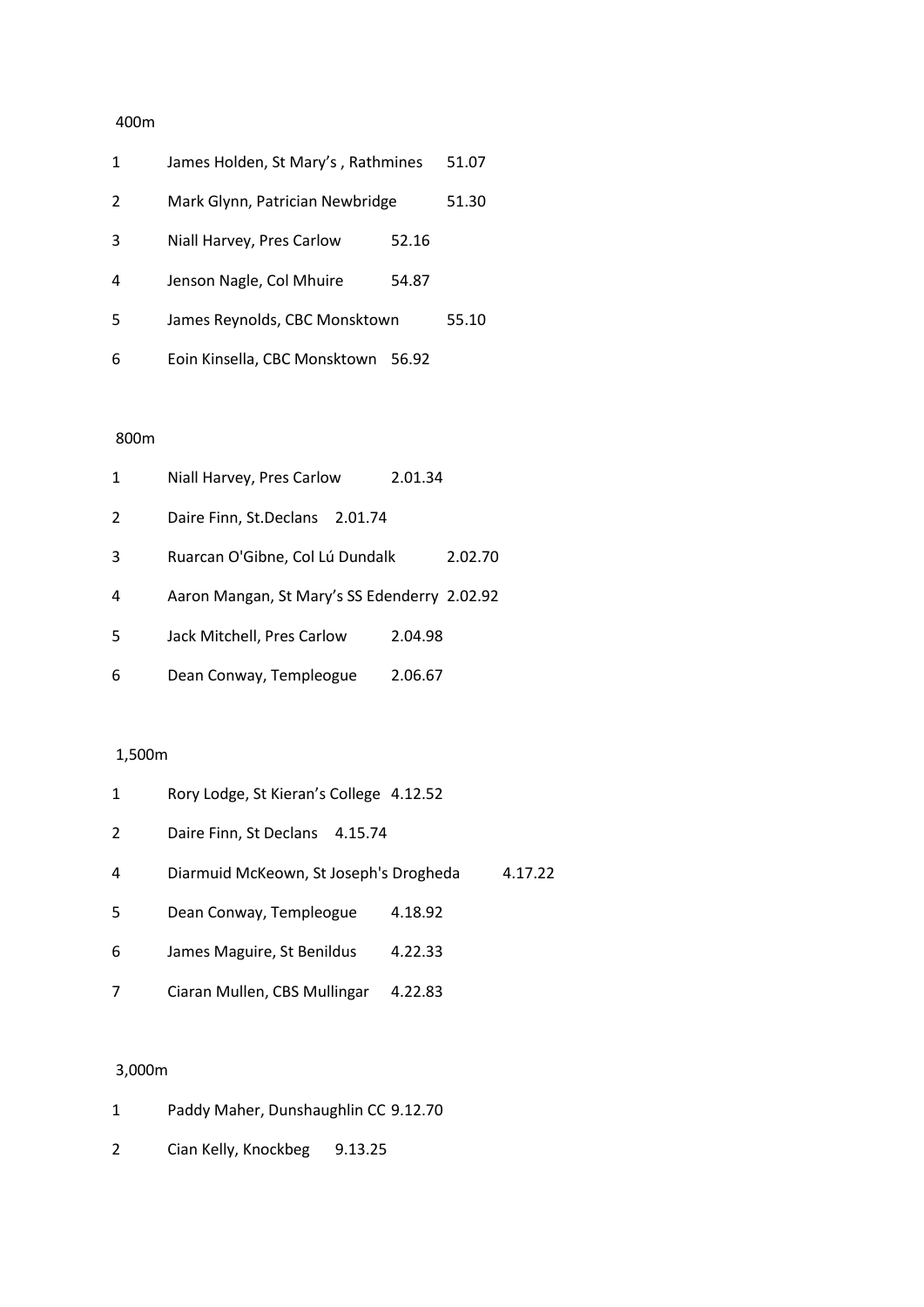| 1 | James Holden, St Mary's, Rathmines |       |       |
|---|------------------------------------|-------|-------|
| 2 | Mark Glynn, Patrician Newbridge    |       | 51.30 |
| 3 | Niall Harvey, Pres Carlow          | 52.16 |       |
| 4 | Jenson Nagle, Col Mhuire           | 54.87 |       |
| 5 | James Reynolds, CBC Monsktown      |       | 55.10 |
| 6 | Eoin Kinsella, CBC Monsktown       | 56.92 |       |

# 800m

| 1 | Niall Harvey, Pres Carlow                    | 2.01.34 |         |
|---|----------------------------------------------|---------|---------|
| 2 | Daire Finn, St.Declans 2.01.74               |         |         |
| 3 | Ruarcan O'Gibne, Col Lú Dundalk              |         | 2.02.70 |
| 4 | Aaron Mangan, St Mary's SS Edenderry 2.02.92 |         |         |
| 5 | Jack Mitchell, Pres Carlow                   | 2.04.98 |         |
| 6 | Dean Conway, Templeogue                      | 2.06.67 |         |

# 1,500m

| 1 | Rory Lodge, St Kieran's College 4.12.52 |         |         |
|---|-----------------------------------------|---------|---------|
| 2 | Daire Finn, St Declans<br>4.15.74       |         |         |
| 4 | Diarmuid McKeown, St Joseph's Drogheda  |         | 4.17.22 |
| 5 | Dean Conway, Templeogue                 | 4.18.92 |         |
| 6 | James Maguire, St Benildus              | 4.22.33 |         |
| 7 | Ciaran Mullen, CBS Mullingar            | 4.22.83 |         |

# 3,000m

| 1 |  | Paddy Maher, Dunshaughlin CC 9.12.70 |  |  |
|---|--|--------------------------------------|--|--|
|---|--|--------------------------------------|--|--|

2 Cian Kelly, Knockbeg 9.13.25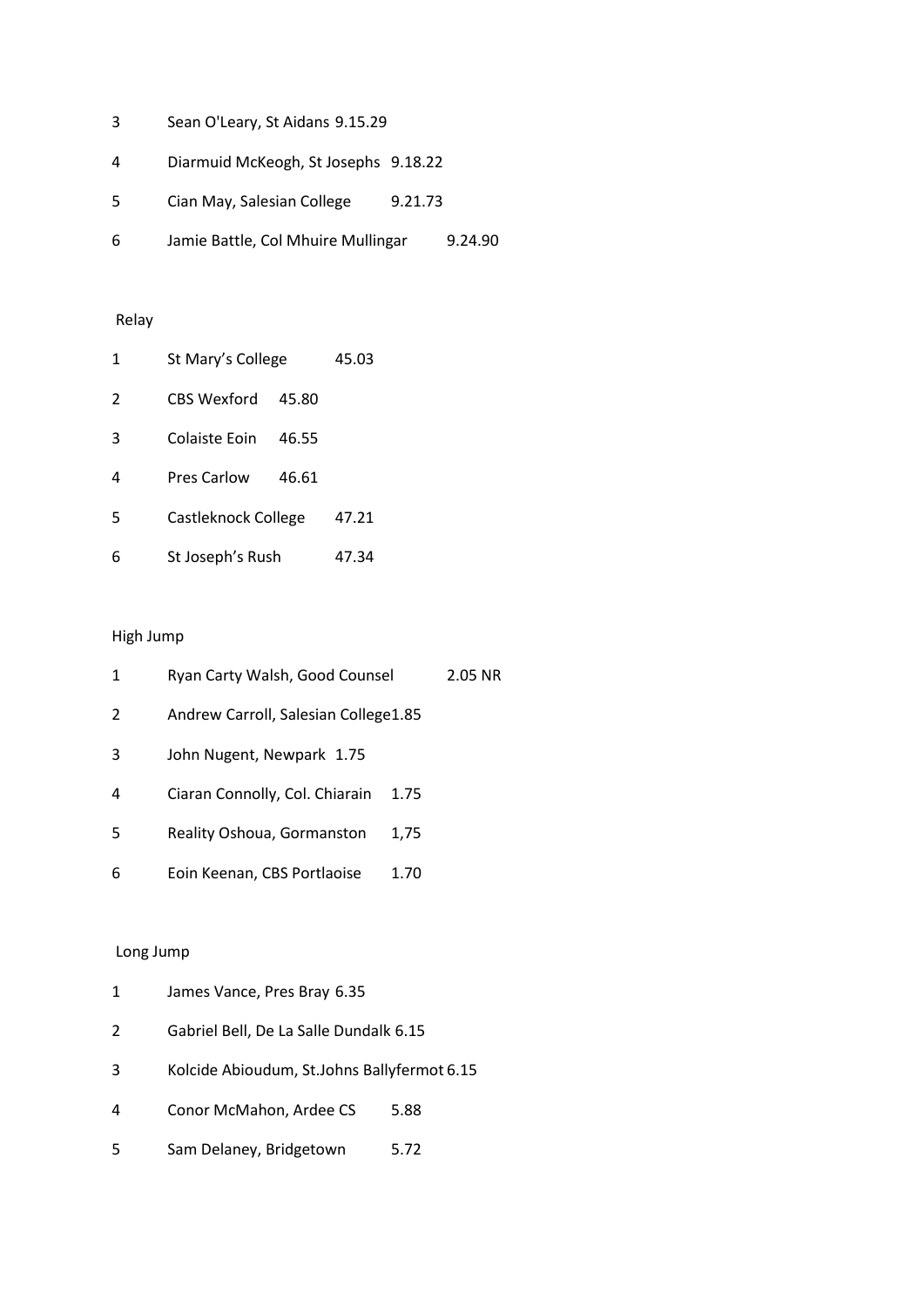| 4 | Diarmuid McKeogh, St Josephs 9.18.22 |  |
|---|--------------------------------------|--|
|---|--------------------------------------|--|

- Cian May, Salesian College 9.21.73
- Jamie Battle, Col Mhuire Mullingar 9.24.90

# Relay

| 1 | St Mary's College   |       | 45.03 |
|---|---------------------|-------|-------|
| 2 | CBS Wexford         | 45.80 |       |
| 3 | Colaiste Foin       | 46.55 |       |
| 4 | <b>Pres Carlow</b>  | 46.61 |       |
| 5 | Castleknock College |       | 47.21 |
| 6 | St Joseph's Rush    |       | 47.34 |

# High Jump

| 1 | Ryan Carty Walsh, Good Counsel       |      | 2.05 NR |
|---|--------------------------------------|------|---------|
| 2 | Andrew Carroll, Salesian College1.85 |      |         |
| 3 | John Nugent, Newpark 1.75            |      |         |
| 4 | Ciaran Connolly, Col. Chiarain       | 1.75 |         |
| 5 | Reality Oshoua, Gormanston           | 1,75 |         |
| 6 | Eoin Keenan, CBS Portlaoise          | 1.70 |         |

| 1 | James Vance, Pres Bray 6.35                 |      |
|---|---------------------------------------------|------|
| 2 | Gabriel Bell, De La Salle Dundalk 6.15      |      |
| 3 | Kolcide Abioudum, St.Johns Ballyfermot 6.15 |      |
| 4 | Conor McMahon, Ardee CS                     | 5.88 |
| 5 | Sam Delaney, Bridgetown                     | 5.72 |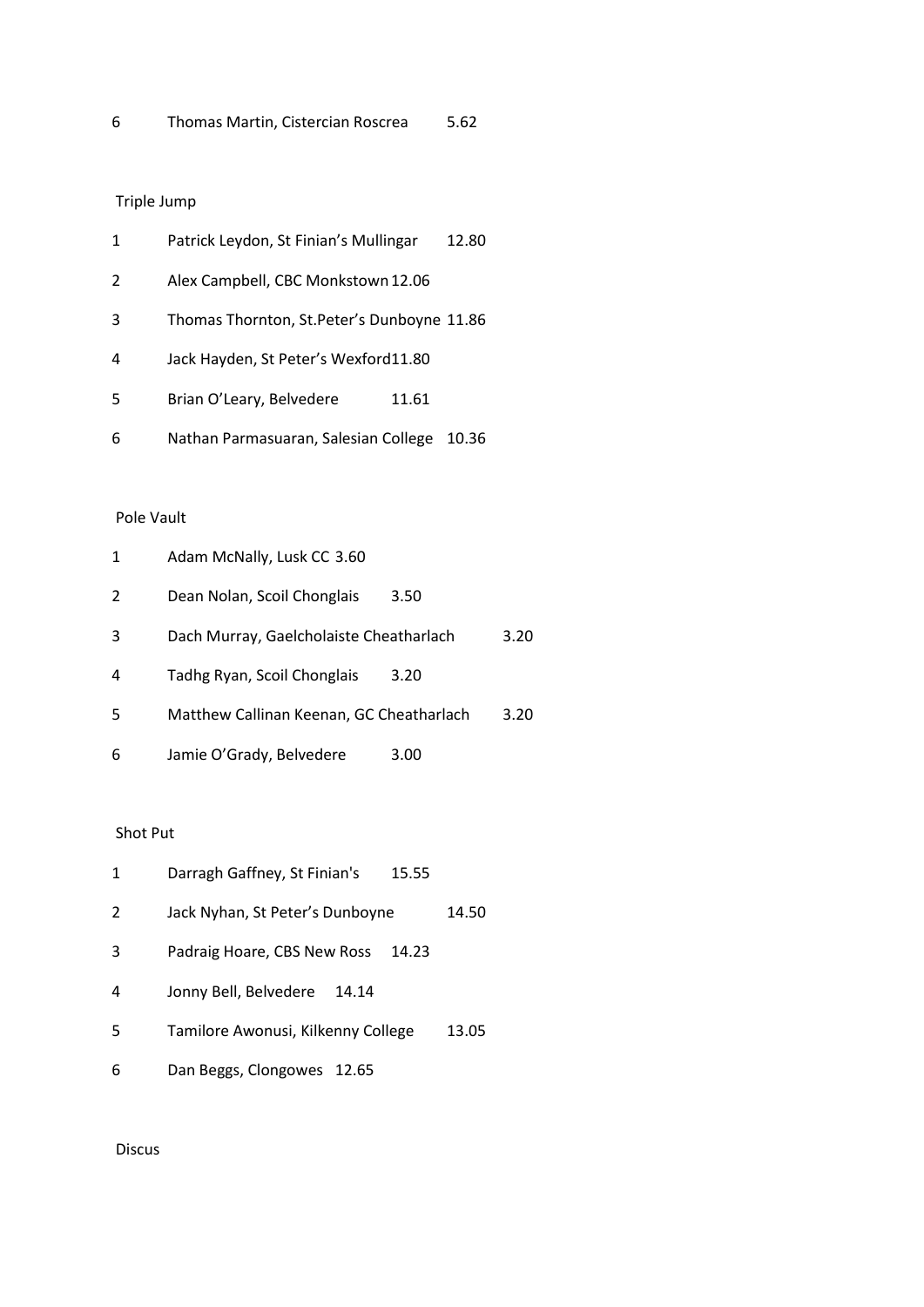| 1  | Patrick Leydon, St Finian's Mullingar       |       | 12.80 |
|----|---------------------------------------------|-------|-------|
| 2  | Alex Campbell, CBC Monkstown 12.06          |       |       |
| 3  | Thomas Thornton, St. Peter's Dunboyne 11.86 |       |       |
| 4  | Jack Hayden, St Peter's Wexford11.80        |       |       |
| .5 | Brian O'Leary, Belvedere                    | 11.61 |       |
| 6  | Nathan Parmasuaran, Salesian College        |       | 10.36 |

# Pole Vault

| 1 | Adam McNally, Lusk CC 3.60               |      |      |
|---|------------------------------------------|------|------|
| 2 | Dean Nolan, Scoil Chonglais              | 3.50 |      |
| 3 | Dach Murray, Gaelcholaiste Cheatharlach  |      | 3.20 |
| 4 | Tadhg Ryan, Scoil Chonglais              | 3.20 |      |
| 5 | Matthew Callinan Keenan, GC Cheatharlach |      | 3.20 |
| 6 | Jamie O'Grady, Belvedere                 | 3.00 |      |

# Shot Put

| 1  | Darragh Gaffney, St Finian's<br>15.55 |       |
|----|---------------------------------------|-------|
| 2  | Jack Nyhan, St Peter's Dunboyne       | 14.50 |
| 3  | Padraig Hoare, CBS New Ross<br>14.23  |       |
| 4  | Jonny Bell, Belvedere<br>14.14        |       |
| .5 | Tamilore Awonusi, Kilkenny College    | 13.05 |
| 6  | Dan Beggs, Clongowes 12.65            |       |

Discus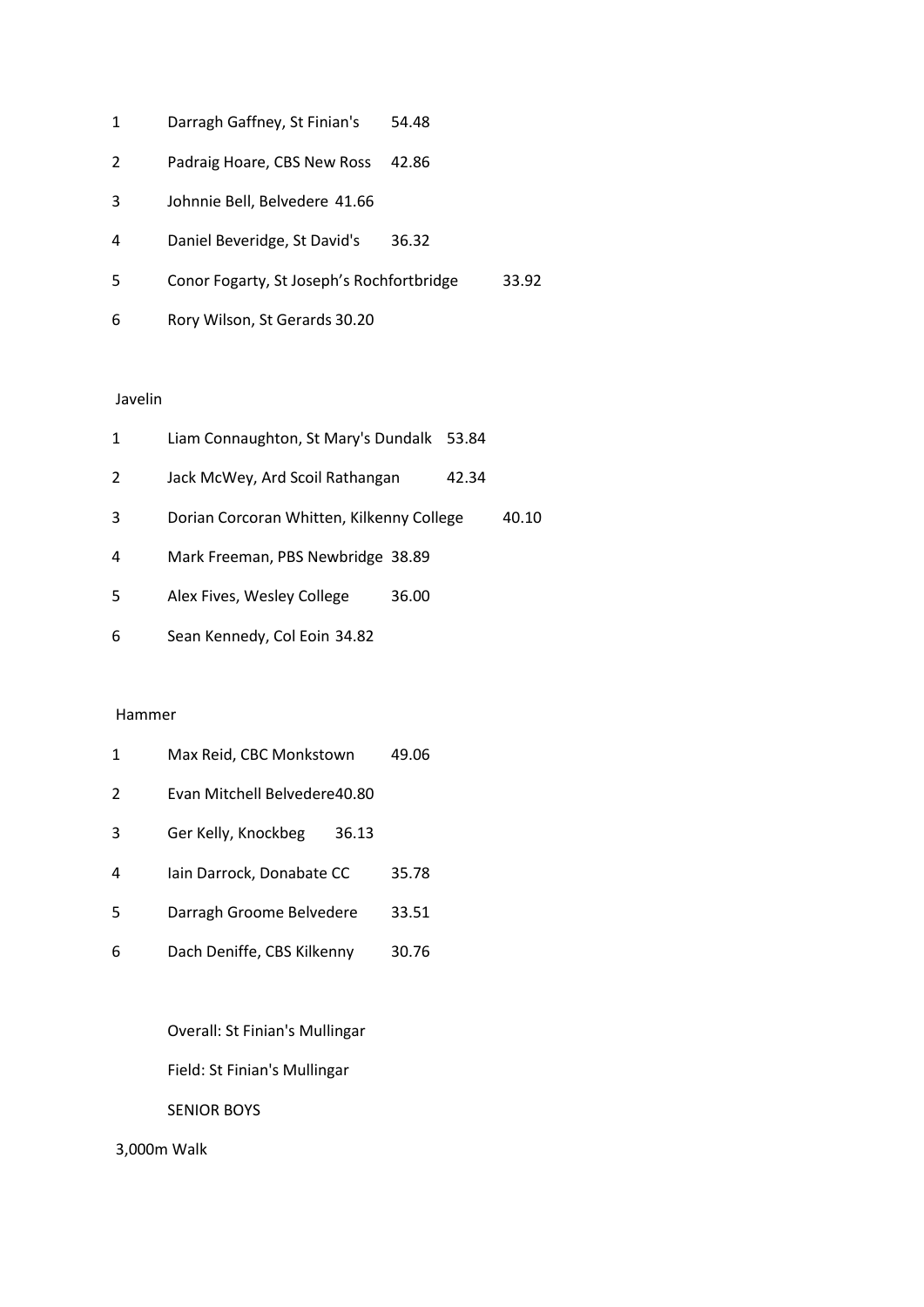| 1 | Darragh Gaffney, St Finian's              | 54.48 |       |
|---|-------------------------------------------|-------|-------|
| 2 | Padraig Hoare, CBS New Ross               | 42.86 |       |
| 3 | Johnnie Bell, Belvedere 41.66             |       |       |
| 4 | Daniel Beveridge, St David's              | 36.32 |       |
| 5 | Conor Fogarty, St Joseph's Rochfortbridge |       | 33.92 |
| 6 | Rory Wilson, St Gerards 30.20             |       |       |

#### Javelin

| 1 | Liam Connaughton, St Mary's Dundalk 53.84 |       |       |       |
|---|-------------------------------------------|-------|-------|-------|
| 2 | Jack McWey, Ard Scoil Rathangan           |       | 42.34 |       |
| 3 | Dorian Corcoran Whitten, Kilkenny College |       |       | 40.10 |
| 4 | Mark Freeman, PBS Newbridge 38.89         |       |       |       |
| 5 | Alex Fives, Wesley College                | 36.00 |       |       |
| 6 | Sean Kennedy, Col Eoin 34.82              |       |       |       |

#### Hammer

| 1 | Max Reid, CBC Monkstown      | 49.06 |
|---|------------------------------|-------|
| 2 | Evan Mitchell Belvedere40.80 |       |
| 3 | Ger Kelly, Knockbeg<br>36.13 |       |
| 4 | lain Darrock, Donabate CC    | 35.78 |
| 5 | Darragh Groome Belvedere     | 33.51 |
| 6 | Dach Deniffe, CBS Kilkenny   | 30.76 |

Overall: St Finian's Mullingar

Field: St Finian's Mullingar

SENIOR BOYS

3,000m Walk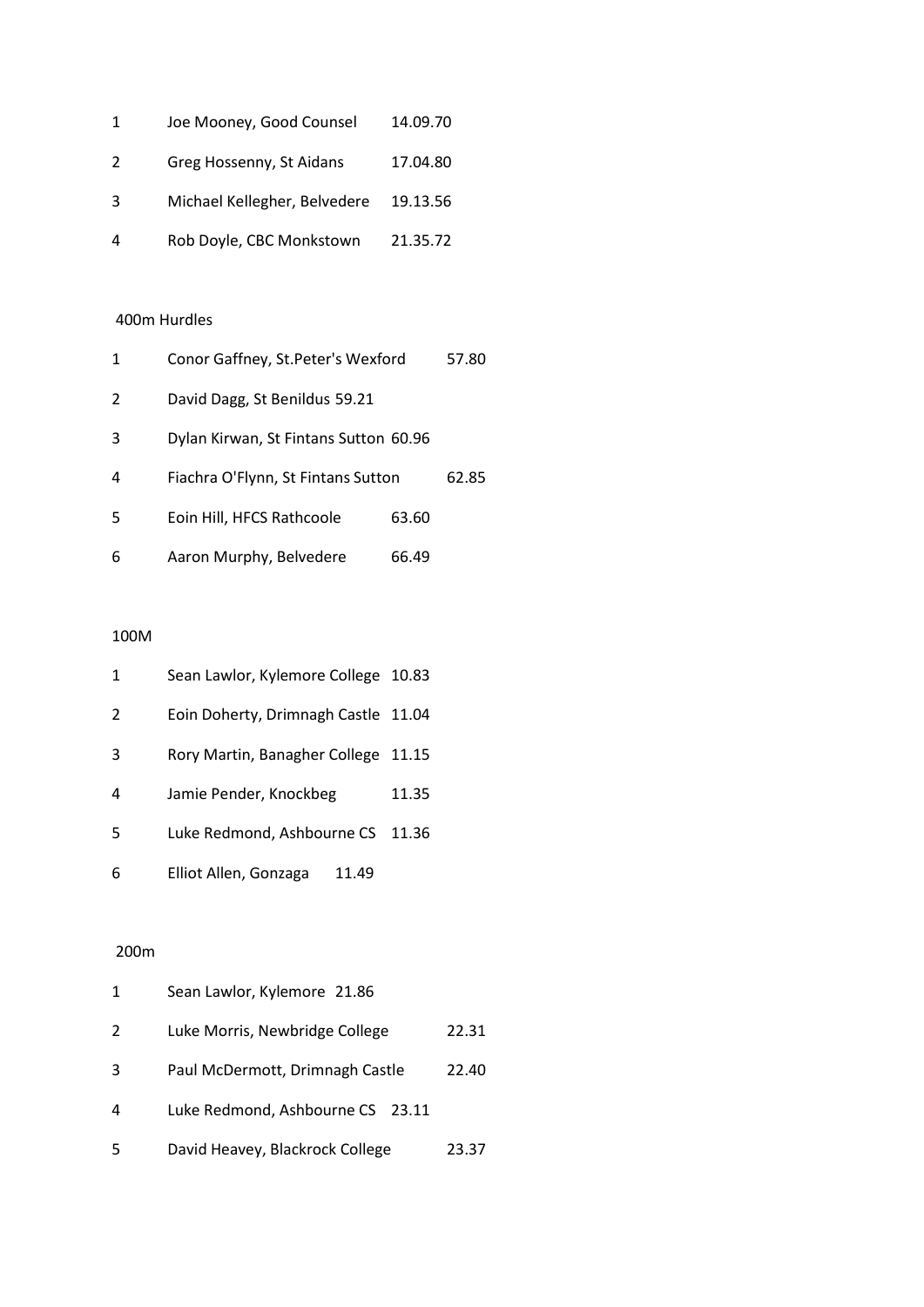| 1 | Joe Mooney, Good Counsel     | 14.09.70 |
|---|------------------------------|----------|
| 2 | Greg Hossenny, St Aidans     | 17.04.80 |
| 3 | Michael Kellegher, Belvedere | 19.13.56 |
| 4 | Rob Doyle, CBC Monkstown     | 21.35.72 |

## 400m Hurdles

| 1 | Conor Gaffney, St.Peter's Wexford     |       | 57.80 |
|---|---------------------------------------|-------|-------|
| 2 | David Dagg, St Benildus 59.21         |       |       |
| 3 | Dylan Kirwan, St Fintans Sutton 60.96 |       |       |
| 4 | Fiachra O'Flynn, St Fintans Sutton    |       | 62.85 |
| 5 | Eoin Hill, HFCS Rathcoole             | 63.60 |       |
| 6 | Aaron Murphy, Belvedere               | 66.49 |       |

### 100M

| 1 | Sean Lawlor, Kylemore College 10.83 |       |
|---|-------------------------------------|-------|
| 2 | Eoin Doherty, Drimnagh Castle 11.04 |       |
| 3 | Rory Martin, Banagher College 11.15 |       |
| 4 | Jamie Pender, Knockbeg              | 11.35 |
| 5 | Luke Redmond, Ashbourne CS          | 11.36 |
| 6 | Elliot Allen, Gonzaga<br>11.49      |       |

| 1 | Sean Lawlor, Kylemore 21.86      |       |
|---|----------------------------------|-------|
| 2 | Luke Morris, Newbridge College   | 22.31 |
| 3 | Paul McDermott, Drimnagh Castle  | 22.40 |
| 4 | Luke Redmond, Ashbourne CS 23.11 |       |
| 5 | David Heavey, Blackrock College  | 23.37 |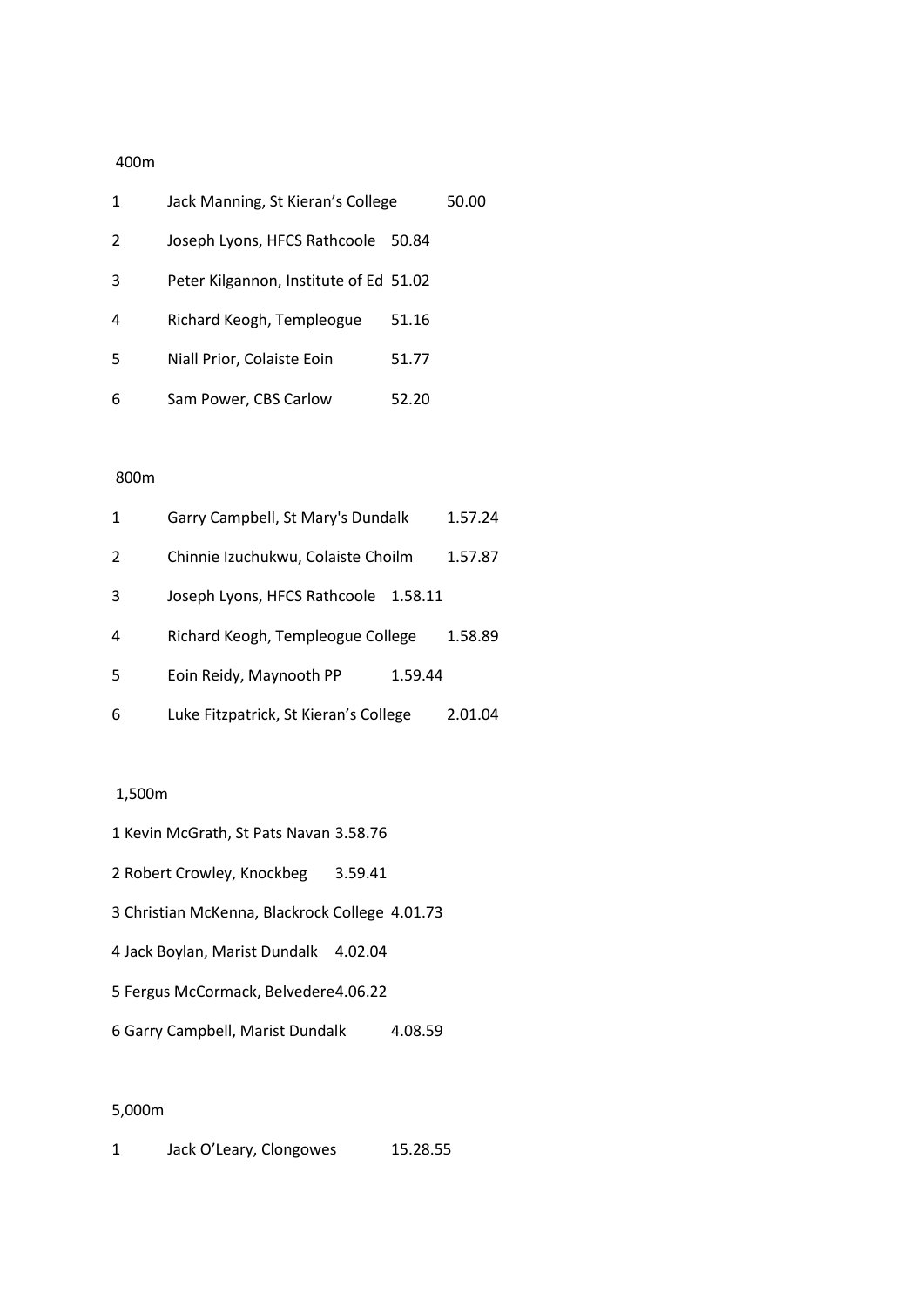| 1 | Jack Manning, St Kieran's College      |       | 50.00 |
|---|----------------------------------------|-------|-------|
| 2 | Joseph Lyons, HFCS Rathcoole           | 50.84 |       |
| 3 | Peter Kilgannon, Institute of Ed 51.02 |       |       |
| 4 | Richard Keogh, Templeogue              | 51.16 |       |
| 5 | Niall Prior, Colaiste Eoin             | 51.77 |       |
| 6 | Sam Power, CBS Carlow                  | 52.20 |       |

# 800m

| 1 | Garry Campbell, St Mary's Dundalk     |         | 1.57.24 |
|---|---------------------------------------|---------|---------|
| 2 | Chinnie Izuchukwu, Colaiste Choilm    |         | 1.57.87 |
| 3 | Joseph Lyons, HFCS Rathcoole          | 1.58.11 |         |
| 4 | Richard Keogh, Templeogue College     |         | 1.58.89 |
| 5 | Eoin Reidy, Maynooth PP               | 1.59.44 |         |
| 6 | Luke Fitzpatrick, St Kieran's College |         | 2.01.04 |

# 1,500m

|  |  | 1 Kevin McGrath, St Pats Navan 3.58.76 |  |  |  |  |  |
|--|--|----------------------------------------|--|--|--|--|--|
|--|--|----------------------------------------|--|--|--|--|--|

- 2 Robert Crowley, Knockbeg 3.59.41
- 3 Christian McKenna, Blackrock College 4.01.73
- 4 Jack Boylan, Marist Dundalk 4.02.04
- 5 Fergus McCormack, Belvedere4.06.22
- 6 Garry Campbell, Marist Dundalk 4.08.59

# 5,000m

1 Jack O'Leary, Clongowes 15.28.55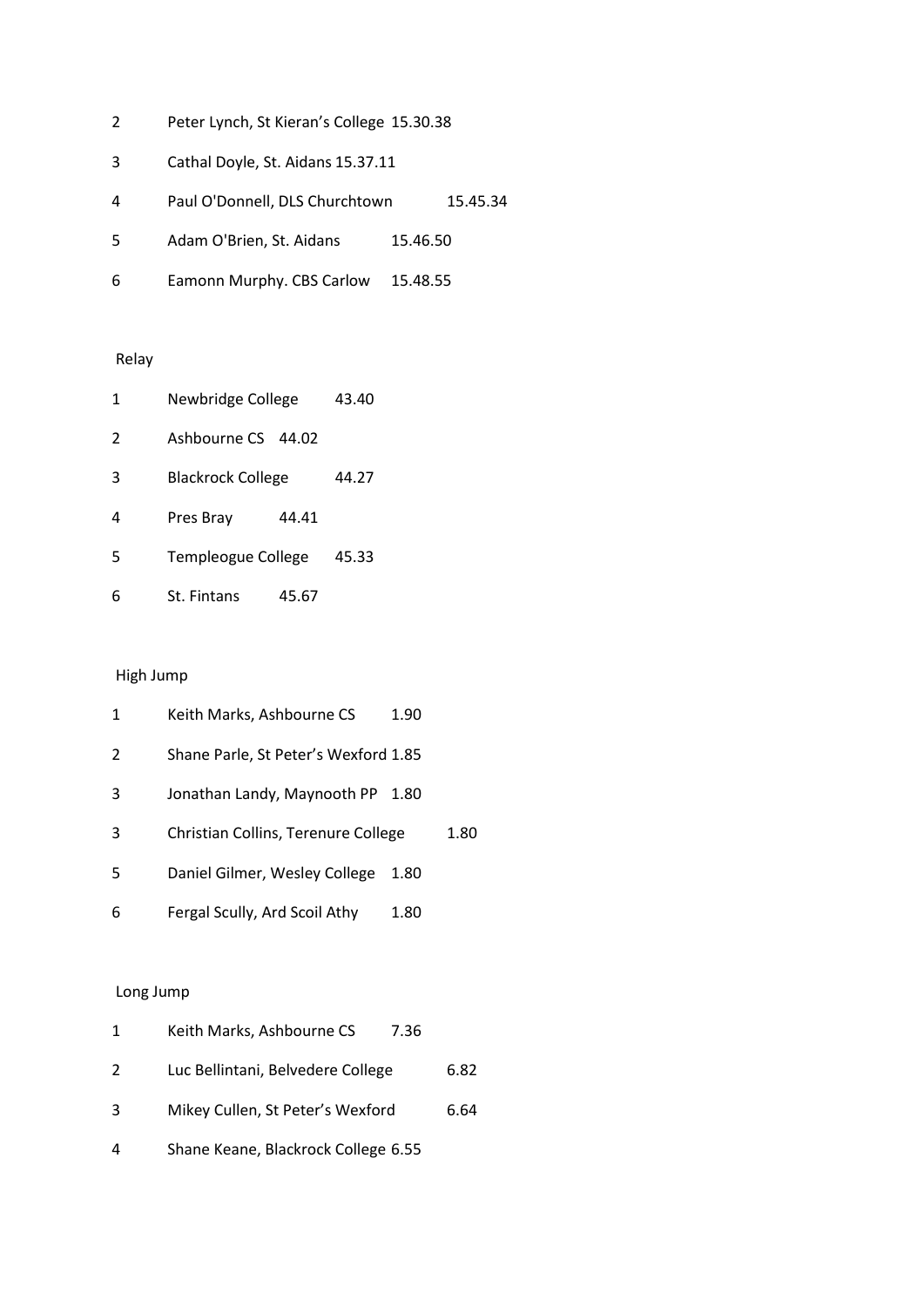- Peter Lynch, St Kieran's College 15.30.38
- Cathal Doyle, St. Aidans 15.37.11
- Paul O'Donnell, DLS Churchtown 15.45.34
- Adam O'Brien, St. Aidans 15.46.50
- Eamonn Murphy. CBS Carlow 15.48.55

# Relay

| 1 | Newbridge College        |       | 43.40 |
|---|--------------------------|-------|-------|
| 2 | Ashbourne CS 44.02       |       |       |
| 3 | <b>Blackrock College</b> |       | 44.27 |
| 4 | Pres Bray                | 44.41 |       |
| 5 | Templeogue College       |       | 45.33 |
| 6 | St. Fintans              | 45.67 |       |

# High Jump

| 1 | Keith Marks, Ashbourne CS            | 1.90 |      |
|---|--------------------------------------|------|------|
| 2 | Shane Parle, St Peter's Wexford 1.85 |      |      |
| 3 | Jonathan Landy, Maynooth PP          | 1.80 |      |
| 3 | Christian Collins, Terenure College  |      | 1.80 |
| 5 | Daniel Gilmer, Wesley College        | 1.80 |      |
| 6 | Fergal Scully, Ard Scoil Athy        | 1.80 |      |

| $\mathbf{1}$ | Keith Marks, Ashbourne CS<br>7.36   |      |
|--------------|-------------------------------------|------|
| 2            | Luc Bellintani, Belvedere College   | 6.82 |
| 3            | Mikey Cullen, St Peter's Wexford    | 6.64 |
| 4            | Shane Keane, Blackrock College 6.55 |      |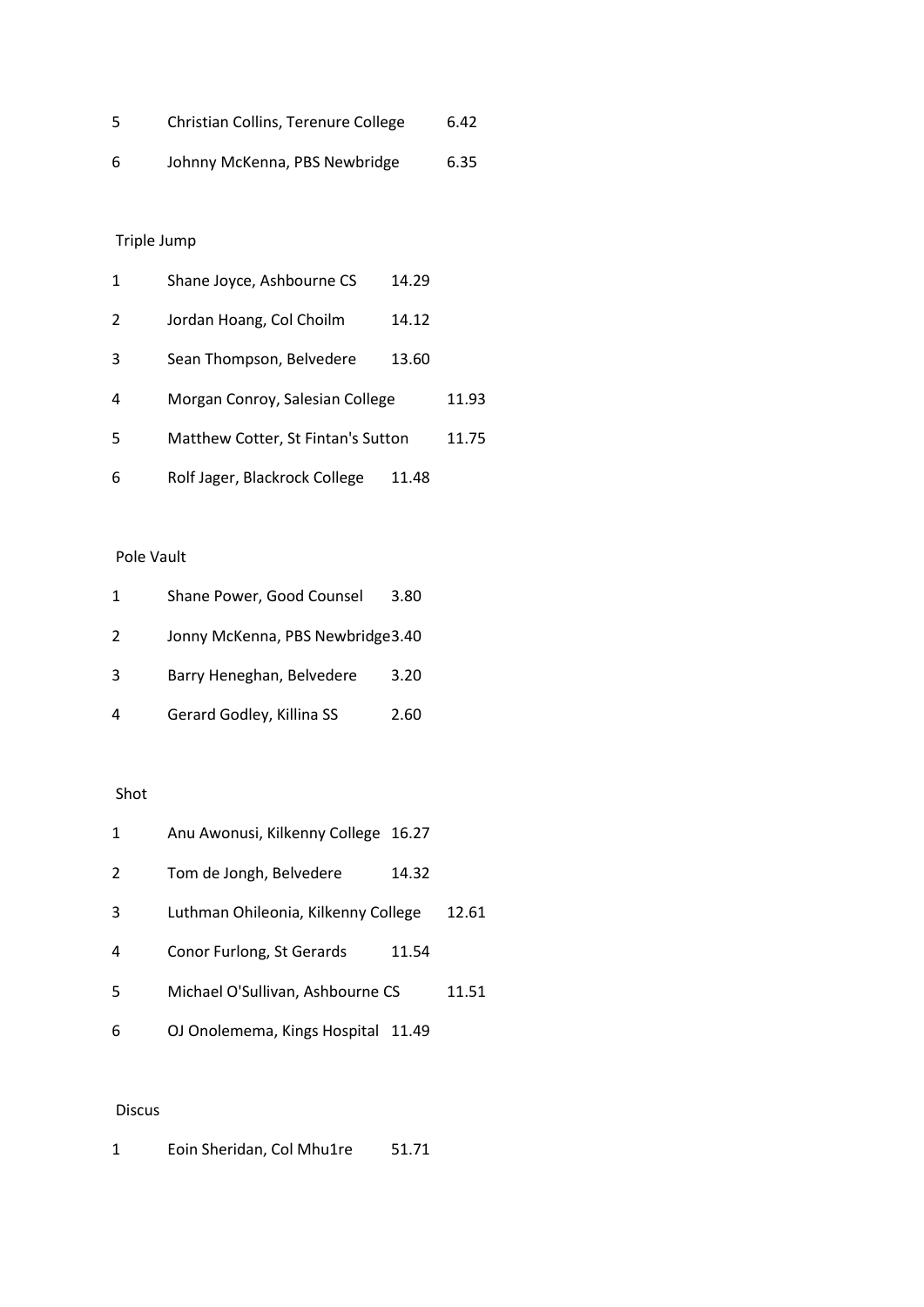| 5 | Christian Collins, Terenure College | 6.42 |
|---|-------------------------------------|------|
| 6 | Johnny McKenna, PBS Newbridge       | 6.35 |

| 1 | Shane Joyce, Ashbourne CS          | 14.29 |       |
|---|------------------------------------|-------|-------|
| 2 | Jordan Hoang, Col Choilm           | 14.12 |       |
| 3 | Sean Thompson, Belvedere           | 13.60 |       |
| 4 | Morgan Conroy, Salesian College    |       | 11.93 |
| 5 | Matthew Cotter, St Fintan's Sutton |       | 11.75 |
| 6 | Rolf Jager, Blackrock College      | 11.48 |       |

# Pole Vault

| 1 | Shane Power, Good Counsel        | 3.80 |
|---|----------------------------------|------|
| 2 | Jonny McKenna, PBS Newbridge3.40 |      |
| 3 | Barry Heneghan, Belvedere        | 3.20 |
| 4 | Gerard Godley, Killina SS        | 2.60 |

# Shot

| 1 | Anu Awonusi, Kilkenny College 16.27 |       |       |
|---|-------------------------------------|-------|-------|
| 2 | Tom de Jongh, Belvedere             | 14.32 |       |
| 3 | Luthman Ohileonia, Kilkenny College |       | 12.61 |
| 4 | Conor Furlong, St Gerards           | 11.54 |       |
| 5 | Michael O'Sullivan, Ashbourne CS    |       | 11.51 |
| 6 | OJ Onolemema, Kings Hospital 11.49  |       |       |

# Discus

| 1 | Eoin Sheridan, Col Mhu1re |  | 51.71 |
|---|---------------------------|--|-------|
|---|---------------------------|--|-------|